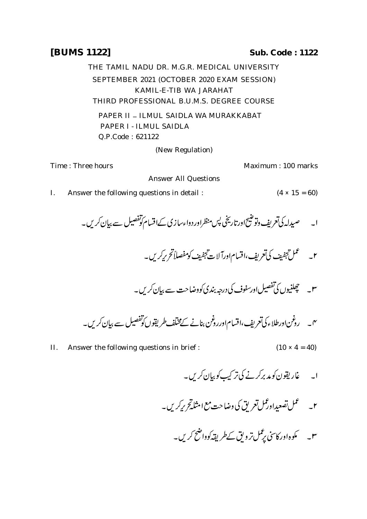## **[BUMS 1122] Sub. Code : 1122**

THE TAMIL NADU DR. M.G.R. MEDICAL UNIVERSITY SEPTEMBER 2021 (OCTOBER 2020 EXAM SESSION) KAMIL-E-TIB WA JARAHAT THIRD PROFESSIONAL B.U.M.S. DEGREE COURSE

PAPER II - ILMUL SAIDLA WA MURAKKABAT PAPER I - ILMUL SAIDLA Q.P.Code : 621122

(New Regulation)

Time : Three hours **Maximum** : 100 marks

Answer All Questions

- I. Answer the following questions in detail :  $(4 \times 15 = 60)$ 
	- ا۔ صیدلہ کی تعریف دنوشیح اورتاریخی پس منظراور دواءسازی کےاقسام کوتفصیل سے بیان کریں۔
		- $\omega$ .<br>)<br>جفيف  $\ddot{\phantom{0}}$ .<br>تجفيف كى<sup>تع</sup>ريف،اقسام|ورآلات تجفيف<sup>ك</sup>  $\ddot{\phantom{0}}$ منج<br>منابع تنجنج ٢۔ مسلم تحفیف کی تعریف،اقسام۱ورآلات تجفیف کومفصلاً تحریرکریں۔
		- س پیچھلنیوں کی تفصیل اورسفوف کی درجہ بندی کووضاحت سے بیان کریں۔

- II. Answer the following questions in brief :  $(10 \times 4 = 40)$ 
	- ا۔ غاریقون کومد برکرنے کی تر کیپ کو بیان کریں۔
	- ۲\_ عمل تصعیداورممل تعریق کی وضاحت مع امثله تحریرکریں۔
		- ۳۔ مگوہاور کاسی پر ٹمل تر ویق کے طریقہ کوواضح کریں۔